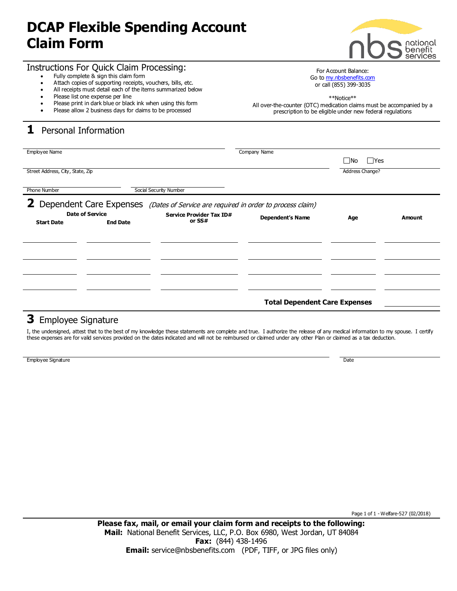## **DCAP Flexible Spending Account Claim Form**



#### Instructions For Quick Claim Processing:

- Fully complete & sign this claim form
- Attach copies of supporting receipts, vouchers, bills, etc.
- All receipts must detail each of the items summarized below
- Please list one expense per line
- Please print in dark blue or black ink when using this form
- Please allow 2 business days for daims to be processed

## **1** Personal Information

or call (855) 399-3035 \*\*Notice\*\*

All over-the-counter (OTC) medication claims must be accompanied by a prescription to be eligible under new federal regulations

For Account Balance: Go to <my.nbsbenefits.com>

| Employee Name                                                                     |                 |                          | Company Name            |                   |        |
|-----------------------------------------------------------------------------------|-----------------|--------------------------|-------------------------|-------------------|--------|
|                                                                                   |                 |                          |                         |                   |        |
|                                                                                   |                 |                          |                         | <b>Nes</b><br>⊟No |        |
|                                                                                   |                 |                          |                         |                   |        |
| Street Address, City, State, Zip                                                  |                 |                          |                         | Address Change?   |        |
|                                                                                   |                 |                          |                         |                   |        |
|                                                                                   |                 |                          |                         |                   |        |
| Social Security Number<br><b>Phone Number</b>                                     |                 |                          |                         |                   |        |
|                                                                                   |                 |                          |                         |                   |        |
|                                                                                   |                 |                          |                         |                   |        |
| $\mathbf{2}$                                                                      |                 |                          |                         |                   |        |
| Dependent Care Expenses (Dates of Service are required in order to process claim) |                 |                          |                         |                   |        |
| <b>Date of Service</b>                                                            |                 | Service Provider Tax ID# | <b>Dependent's Name</b> | Age               | Amount |
| <b>Start Date</b>                                                                 | <b>End Date</b> | or SS#                   |                         |                   |        |
|                                                                                   |                 |                          |                         |                   |        |
|                                                                                   |                 |                          |                         |                   |        |
|                                                                                   |                 |                          |                         |                   |        |
|                                                                                   |                 |                          |                         |                   |        |
|                                                                                   |                 |                          |                         |                   |        |
|                                                                                   |                 |                          |                         |                   |        |
|                                                                                   |                 |                          |                         |                   |        |
|                                                                                   |                 |                          |                         |                   |        |
|                                                                                   |                 |                          |                         |                   |        |
|                                                                                   |                 |                          |                         |                   |        |
|                                                                                   |                 |                          |                         |                   |        |
|                                                                                   |                 |                          |                         |                   |        |
|                                                                                   |                 |                          |                         |                   |        |
|                                                                                   |                 |                          |                         |                   |        |
| <b>Total Dependent Care Expenses</b>                                              |                 |                          |                         |                   |        |
|                                                                                   |                 |                          |                         |                   |        |
|                                                                                   |                 |                          |                         |                   |        |

### **3** Employee Signature

I, the undersigned, attest that to the best of my knowledge these statements are complete and true. I authorize the release of any medical information to my spouse. I certify these expenses are for valid services provided on the dates indicated and will not be reimbursed or claimed under any other Plan or claimed as a tax deduction.

Employee Signature Date of the Contract of the Contract of the Contract of the Contract of the Date of the Date of the Date of the Date of the Date of the Date of the Date of the Date of the Date of the Date of the Date of